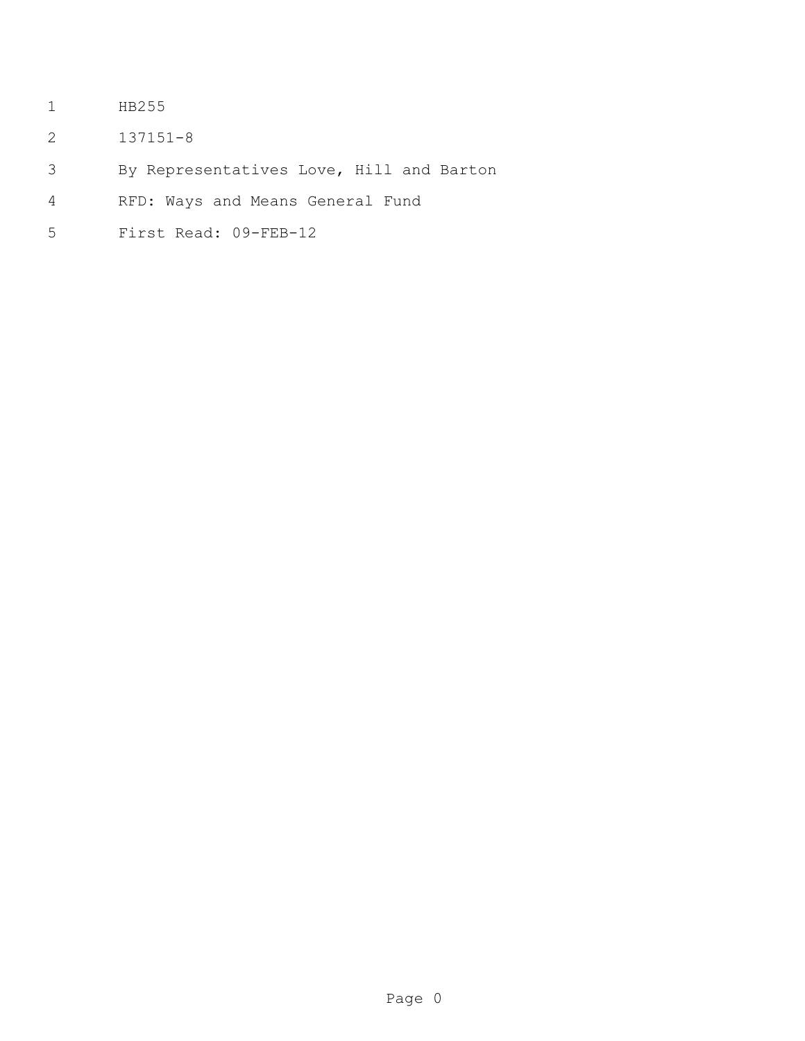- HB255
- 137151-8
- By Representatives Love, Hill and Barton
- RFD: Ways and Means General Fund
- First Read: 09-FEB-12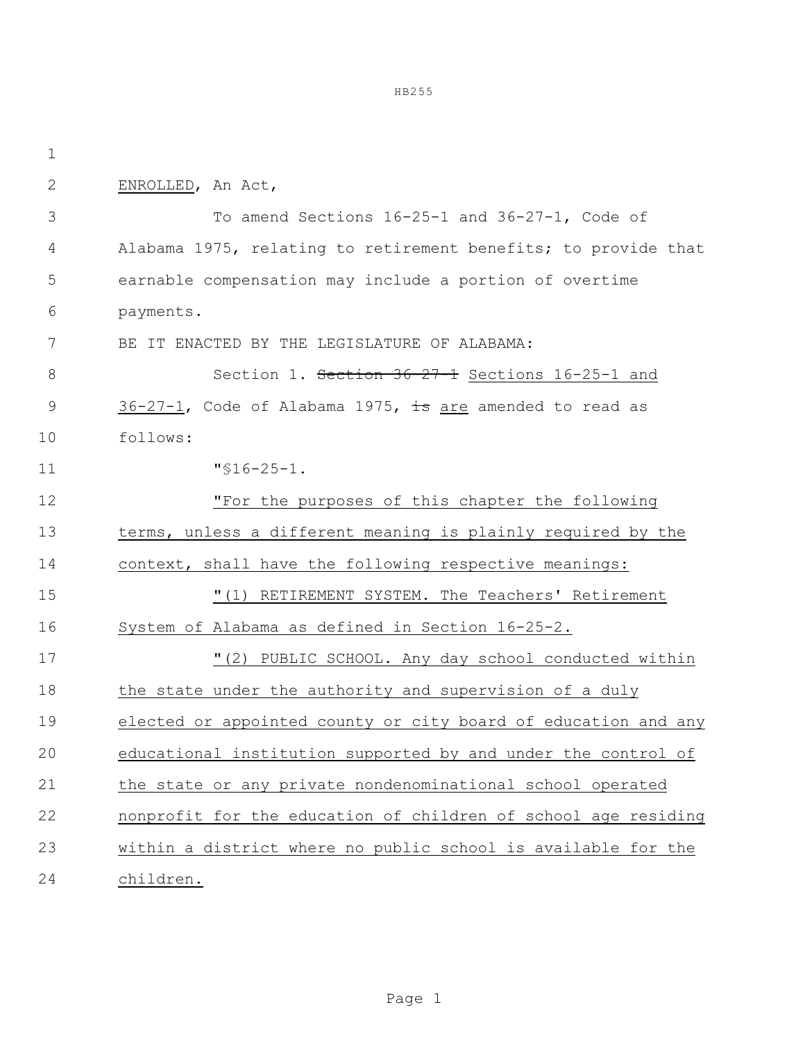ENROLLED, An Act, To amend Sections 16-25-1 and 36-27-1, Code of Alabama 1975, relating to retirement benefits; to provide that earnable compensation may include a portion of overtime payments. BE IT ENACTED BY THE LEGISLATURE OF ALABAMA: 8 Section 1. Section 36-27-1 Sections 16-25-1 and 9 36-27-1, Code of Alabama 1975, is are amended to read as follows: "§16-25-1. "For the purposes of this chapter the following terms, unless a different meaning is plainly required by the context, shall have the following respective meanings: "(1) RETIREMENT SYSTEM. The Teachers' Retirement System of Alabama as defined in Section 16-25-2. "(2) PUBLIC SCHOOL. Any day school conducted within 18 the state under the authority and supervision of a duly elected or appointed county or city board of education and any educational institution supported by and under the control of the state or any private nondenominational school operated nonprofit for the education of children of school age residing within a district where no public school is available for the children.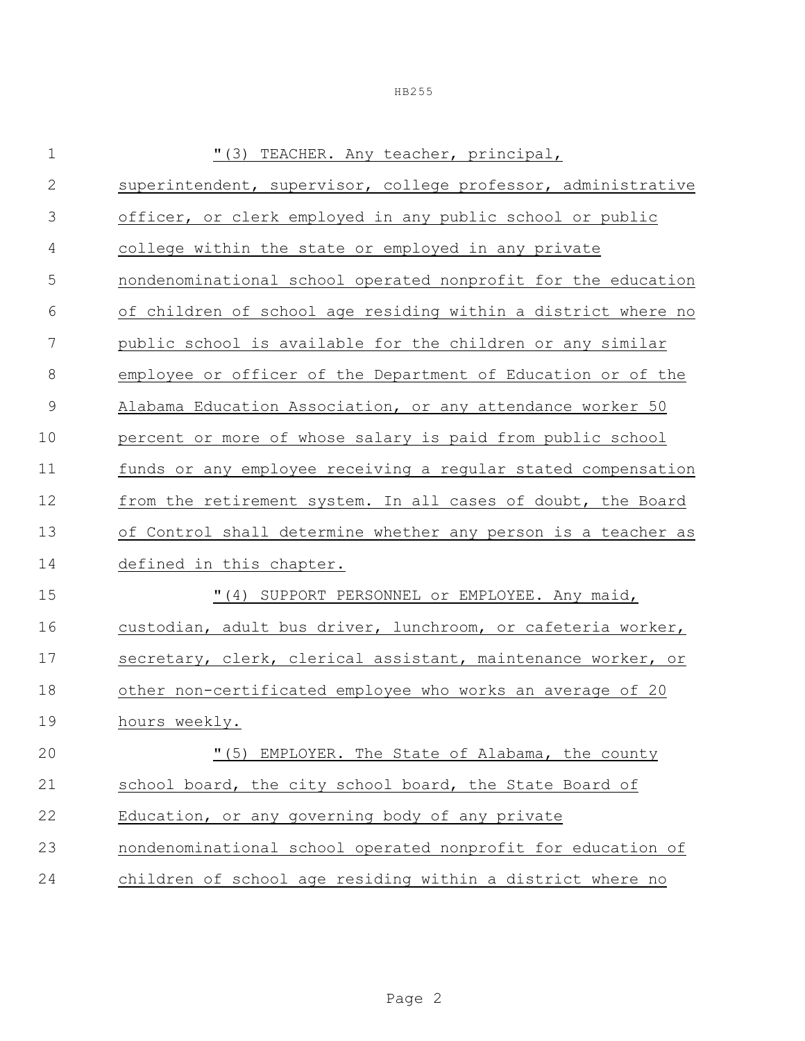| $\mathbf 1$  | "(3) TEACHER. Any teacher, principal,                         |  |  |  |
|--------------|---------------------------------------------------------------|--|--|--|
| $\mathbf{2}$ | superintendent, supervisor, college professor, administrative |  |  |  |
| 3            | officer, or clerk employed in any public school or public     |  |  |  |
| 4            | college within the state or employed in any private           |  |  |  |
| 5            | nondenominational school operated nonprofit for the education |  |  |  |
| 6            | of children of school age residing within a district where no |  |  |  |
| 7            | public school is available for the children or any similar    |  |  |  |
| 8            | employee or officer of the Department of Education or of the  |  |  |  |
| 9            | Alabama Education Association, or any attendance worker 50    |  |  |  |
| 10           | percent or more of whose salary is paid from public school    |  |  |  |
| 11           | funds or any employee receiving a regular stated compensation |  |  |  |
| 12           | from the retirement system. In all cases of doubt, the Board  |  |  |  |
| 13           | of Control shall determine whether any person is a teacher as |  |  |  |
| 14           | defined in this chapter.                                      |  |  |  |
| 15           | "(4) SUPPORT PERSONNEL or EMPLOYEE. Any maid,                 |  |  |  |
| 16           | custodian, adult bus driver, lunchroom, or cafeteria worker,  |  |  |  |
| 17           | secretary, clerk, clerical assistant, maintenance worker, or  |  |  |  |
| 18           | other non-certificated employee who works an average of 20    |  |  |  |
| 19           | hours weekly.                                                 |  |  |  |
| 20           | "(5) EMPLOYER. The State of Alabama, the county               |  |  |  |
| 21           | school board, the city school board, the State Board of       |  |  |  |
| 22           | Education, or any governing body of any private               |  |  |  |
| 23           | nondenominational school operated nonprofit for education of  |  |  |  |
| 24           | children of school age residing within a district where no    |  |  |  |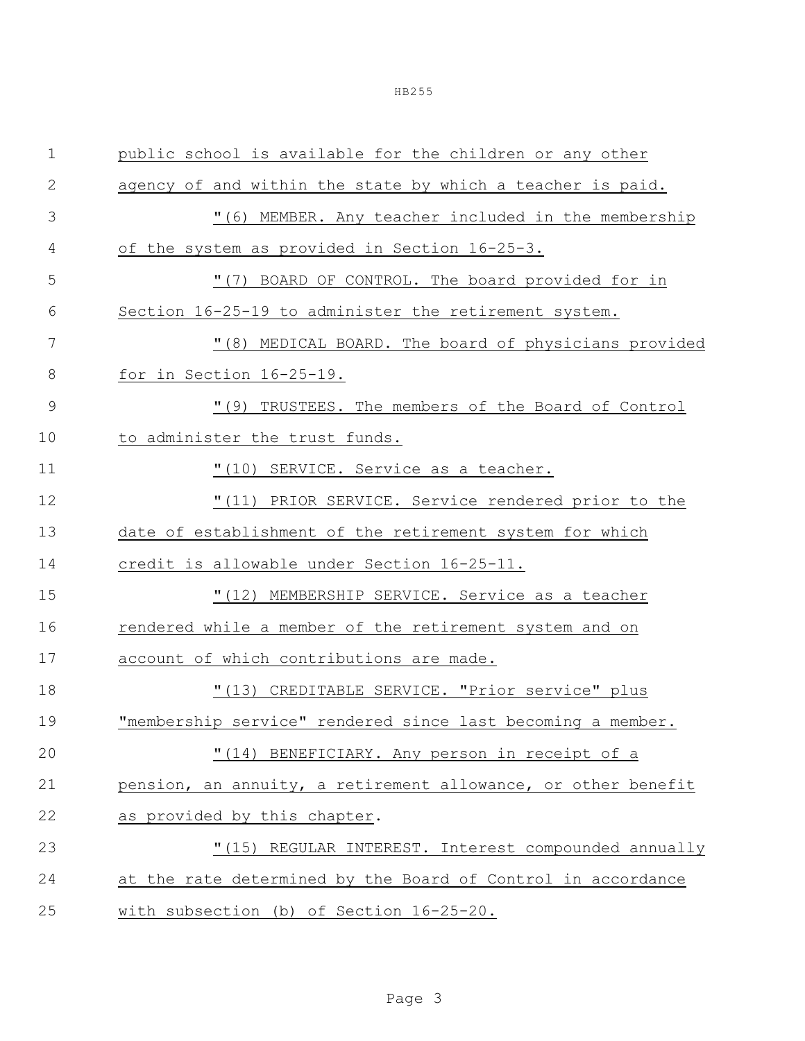| $\mathbf 1$    | public school is available for the children or any other      |  |  |  |  |
|----------------|---------------------------------------------------------------|--|--|--|--|
| 2              | agency of and within the state by which a teacher is paid.    |  |  |  |  |
| 3              | "(6) MEMBER. Any teacher included in the membership           |  |  |  |  |
| 4              | of the system as provided in Section 16-25-3.                 |  |  |  |  |
| 5              | "(7) BOARD OF CONTROL. The board provided for in              |  |  |  |  |
| 6              | Section 16-25-19 to administer the retirement system.         |  |  |  |  |
| 7              | "(8) MEDICAL BOARD. The board of physicians provided          |  |  |  |  |
| 8              | for in Section 16-25-19.                                      |  |  |  |  |
| $\overline{9}$ | "(9) TRUSTEES. The members of the Board of Control            |  |  |  |  |
| 10             | to administer the trust funds.                                |  |  |  |  |
| 11             | "(10) SERVICE. Service as a teacher.                          |  |  |  |  |
| 12             | "(11) PRIOR SERVICE. Service rendered prior to the            |  |  |  |  |
| 13             | date of establishment of the retirement system for which      |  |  |  |  |
| 14             | credit is allowable under Section 16-25-11.                   |  |  |  |  |
| 15             | "(12) MEMBERSHIP SERVICE. Service as a teacher                |  |  |  |  |
| 16             | rendered while a member of the retirement system and on       |  |  |  |  |
| 17             | account of which contributions are made.                      |  |  |  |  |
| 18             | "(13) CREDITABLE SERVICE. "Prior service" plus                |  |  |  |  |
| 19             | "membership service" rendered since last becoming a member.   |  |  |  |  |
| 20             | "(14) BENEFICIARY. Any person in receipt of a                 |  |  |  |  |
| 21             | pension, an annuity, a retirement allowance, or other benefit |  |  |  |  |
| 22             | as provided by this chapter.                                  |  |  |  |  |
| 23             | "(15) REGULAR INTEREST. Interest compounded annually          |  |  |  |  |
| 24             | at the rate determined by the Board of Control in accordance  |  |  |  |  |
| 25             | with subsection (b) of Section 16-25-20.                      |  |  |  |  |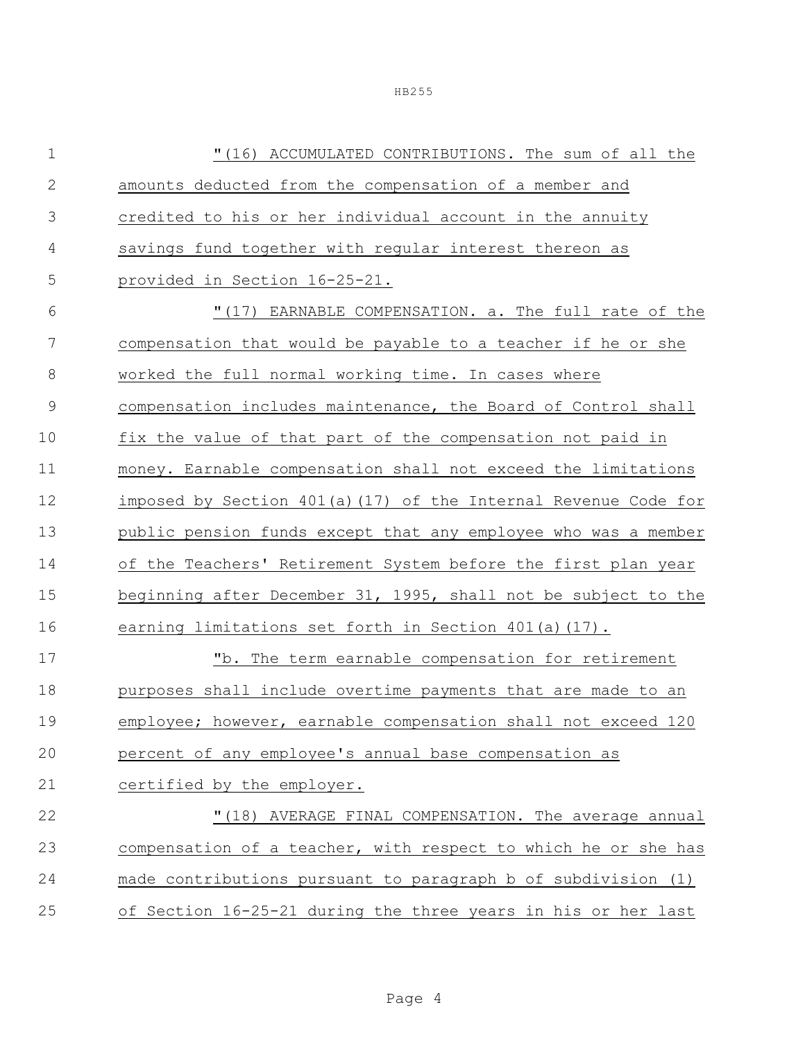"(16) ACCUMULATED CONTRIBUTIONS. The sum of all the amounts deducted from the compensation of a member and credited to his or her individual account in the annuity savings fund together with regular interest thereon as provided in Section 16-25-21. "(17) EARNABLE COMPENSATION. a. The full rate of the compensation that would be payable to a teacher if he or she worked the full normal working time. In cases where compensation includes maintenance, the Board of Control shall fix the value of that part of the compensation not paid in money. Earnable compensation shall not exceed the limitations imposed by Section 401(a)(17) of the Internal Revenue Code for public pension funds except that any employee who was a member of the Teachers' Retirement System before the first plan year beginning after December 31, 1995, shall not be subject to the earning limitations set forth in Section 401(a)(17). "b. The term earnable compensation for retirement purposes shall include overtime payments that are made to an employee; however, earnable compensation shall not exceed 120 percent of any employee's annual base compensation as certified by the employer. **"**(18) AVERAGE FINAL COMPENSATION. The average annual compensation of a teacher, with respect to which he or she has made contributions pursuant to paragraph b of subdivision (1) of Section 16-25-21 during the three years in his or her last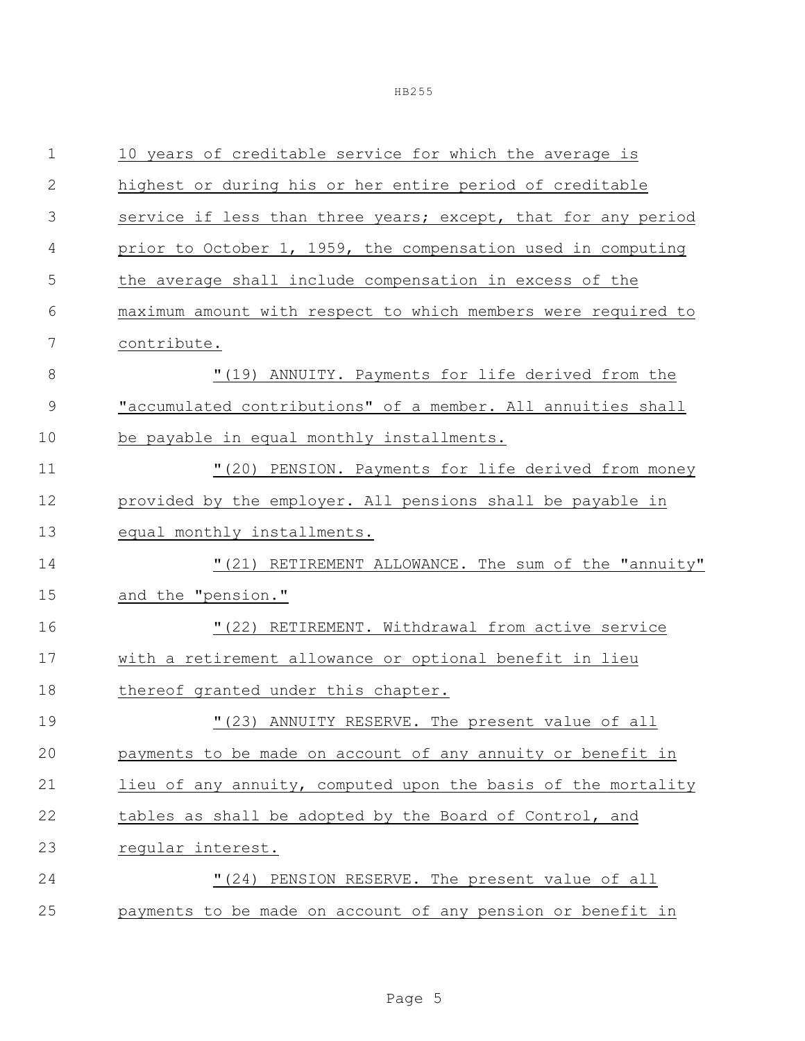| $\mathbf 1$  | 10 years of creditable service for which the average is       |  |  |  |  |
|--------------|---------------------------------------------------------------|--|--|--|--|
| $\mathbf{2}$ | highest or during his or her entire period of creditable      |  |  |  |  |
| 3            | service if less than three years; except, that for any period |  |  |  |  |
| 4            | prior to October 1, 1959, the compensation used in computing  |  |  |  |  |
| 5            | the average shall include compensation in excess of the       |  |  |  |  |
| 6            | maximum amount with respect to which members were required to |  |  |  |  |
| 7            | contribute.                                                   |  |  |  |  |
| 8            | "(19) ANNUITY. Payments for life derived from the             |  |  |  |  |
| 9            | "accumulated contributions" of a member. All annuities shall  |  |  |  |  |
| 10           | be payable in equal monthly installments.                     |  |  |  |  |
| 11           | "(20) PENSION. Payments for life derived from money           |  |  |  |  |
| 12           | provided by the employer. All pensions shall be payable in    |  |  |  |  |
| 13           | equal monthly installments.                                   |  |  |  |  |
| 14           | "(21) RETIREMENT ALLOWANCE. The sum of the "annuity"          |  |  |  |  |
| 15           | and the "pension."                                            |  |  |  |  |
| 16           | "(22) RETIREMENT. Withdrawal from active service              |  |  |  |  |
| 17           | with a retirement allowance or optional benefit in lieu       |  |  |  |  |
| 18           | thereof granted under this chapter.                           |  |  |  |  |
| 19           | "(23) ANNUITY RESERVE. The present value of all               |  |  |  |  |
| 20           | payments to be made on account of any annuity or benefit in   |  |  |  |  |
| 21           | lieu of any annuity, computed upon the basis of the mortality |  |  |  |  |
| 22           | tables as shall be adopted by the Board of Control, and       |  |  |  |  |
| 23           | reqular interest.                                             |  |  |  |  |
| 24           | "(24) PENSION RESERVE. The present value of all               |  |  |  |  |
| 25           | payments to be made on account of any pension or benefit in   |  |  |  |  |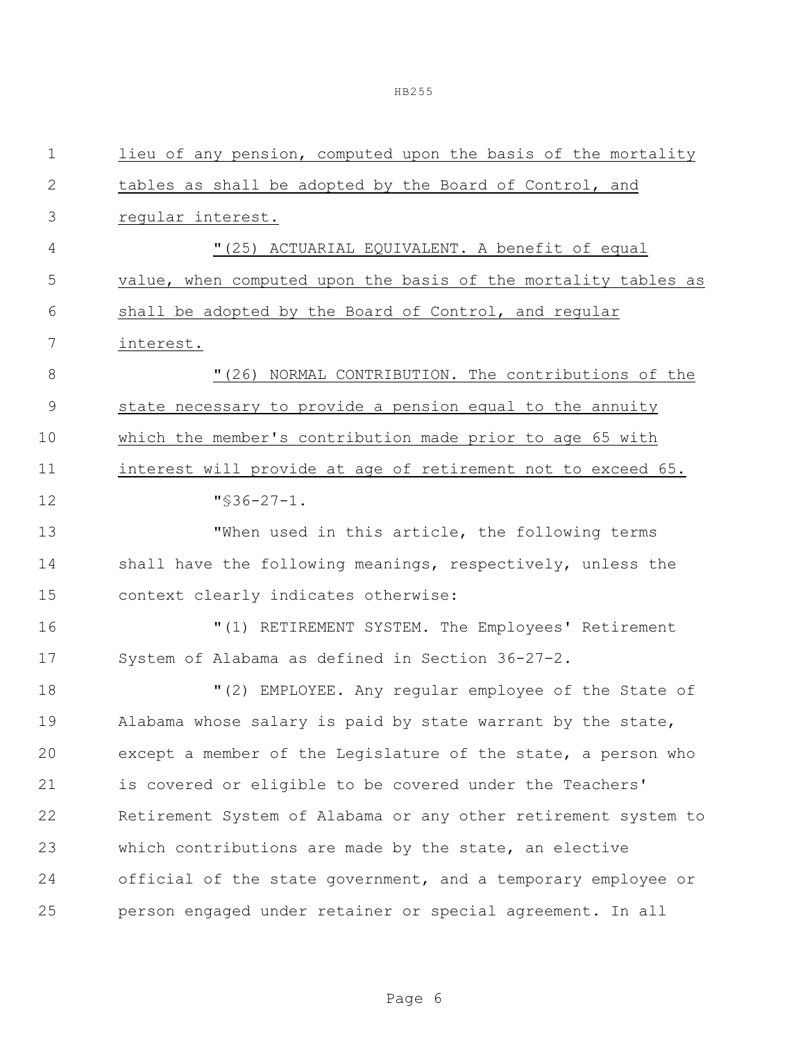| $\mathbf 1$  | lieu of any pension, computed upon the basis of the mortality  |  |  |  |  |
|--------------|----------------------------------------------------------------|--|--|--|--|
| $\mathbf{2}$ | tables as shall be adopted by the Board of Control, and        |  |  |  |  |
| 3            | regular interest.                                              |  |  |  |  |
| 4            | "(25) ACTUARIAL EQUIVALENT. A benefit of equal                 |  |  |  |  |
| 5            | value, when computed upon the basis of the mortality tables as |  |  |  |  |
| 6            | shall be adopted by the Board of Control, and reqular          |  |  |  |  |
| 7            | interest.                                                      |  |  |  |  |
| $8\,$        | "(26) NORMAL CONTRIBUTION. The contributions of the            |  |  |  |  |
| $\mathsf 9$  | state necessary to provide a pension equal to the annuity      |  |  |  |  |
| 10           | which the member's contribution made prior to age 65 with      |  |  |  |  |
| 11           | interest will provide at age of retirement not to exceed 65.   |  |  |  |  |
| 12           | $\sqrt{536-27-1}$ .                                            |  |  |  |  |
| 13           | "When used in this article, the following terms                |  |  |  |  |
| 14           | shall have the following meanings, respectively, unless the    |  |  |  |  |
| 15           | context clearly indicates otherwise:                           |  |  |  |  |
| 16           | "(1) RETIREMENT SYSTEM. The Employees' Retirement              |  |  |  |  |
| 17           | System of Alabama as defined in Section 36-27-2.               |  |  |  |  |
| 18           | "(2) EMPLOYEE. Any regular employee of the State of            |  |  |  |  |
| 19           | Alabama whose salary is paid by state warrant by the state,    |  |  |  |  |
| 20           | except a member of the Legislature of the state, a person who  |  |  |  |  |
| 21           | is covered or eligible to be covered under the Teachers'       |  |  |  |  |
| 22           | Retirement System of Alabama or any other retirement system to |  |  |  |  |
| 23           | which contributions are made by the state, an elective         |  |  |  |  |
| 24           | official of the state government, and a temporary employee or  |  |  |  |  |
| 25           | person engaged under retainer or special agreement. In all     |  |  |  |  |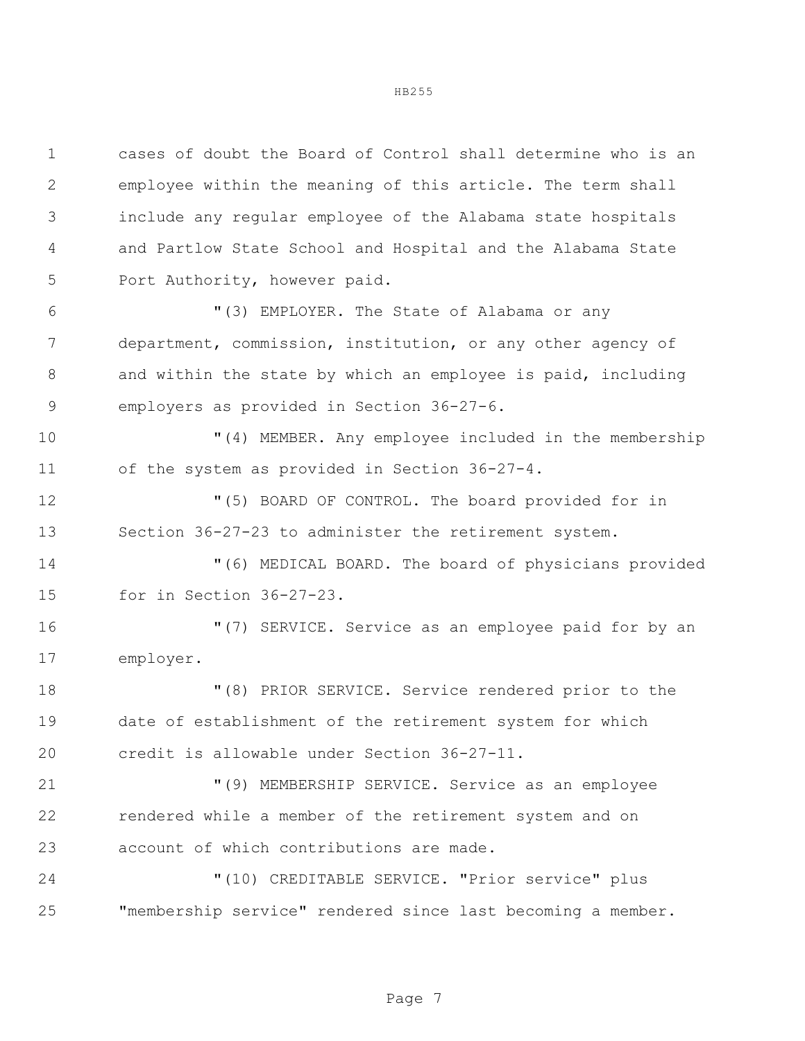cases of doubt the Board of Control shall determine who is an

HB255

 employee within the meaning of this article. The term shall include any regular employee of the Alabama state hospitals and Partlow State School and Hospital and the Alabama State Port Authority, however paid.

 "(3) EMPLOYER. The State of Alabama or any department, commission, institution, or any other agency of and within the state by which an employee is paid, including employers as provided in Section 36-27-6.

 "(4) MEMBER. Any employee included in the membership of the system as provided in Section 36-27-4.

 "(5) BOARD OF CONTROL. The board provided for in Section 36-27-23 to administer the retirement system.

 "(6) MEDICAL BOARD. The board of physicians provided for in Section 36-27-23.

 "(7) SERVICE. Service as an employee paid for by an employer.

 "(8) PRIOR SERVICE. Service rendered prior to the date of establishment of the retirement system for which credit is allowable under Section 36-27-11.

 "(9) MEMBERSHIP SERVICE. Service as an employee rendered while a member of the retirement system and on account of which contributions are made.

 "(10) CREDITABLE SERVICE. "Prior service" plus "membership service" rendered since last becoming a member.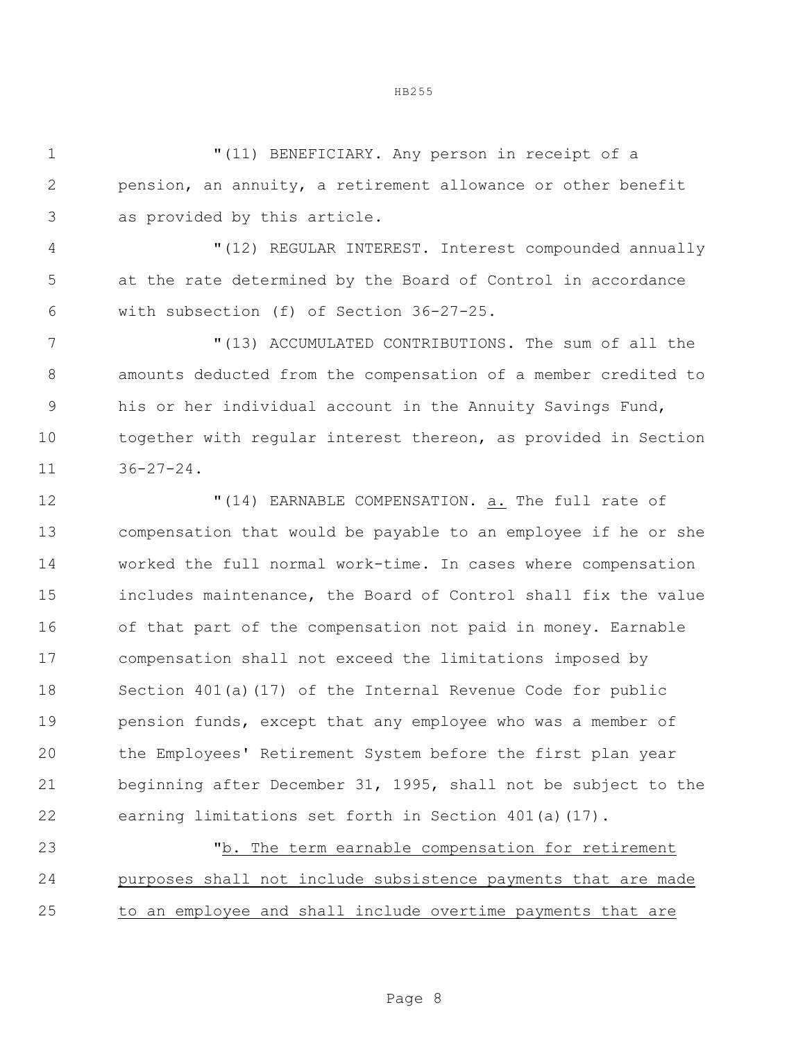"(11) BENEFICIARY. Any person in receipt of a pension, an annuity, a retirement allowance or other benefit as provided by this article.

 "(12) REGULAR INTEREST. Interest compounded annually at the rate determined by the Board of Control in accordance with subsection (f) of Section 36-27-25.

 "(13) ACCUMULATED CONTRIBUTIONS. The sum of all the amounts deducted from the compensation of a member credited to his or her individual account in the Annuity Savings Fund, together with regular interest thereon, as provided in Section 36-27-24.

 "(14) EARNABLE COMPENSATION. a. The full rate of compensation that would be payable to an employee if he or she worked the full normal work-time. In cases where compensation includes maintenance, the Board of Control shall fix the value of that part of the compensation not paid in money. Earnable compensation shall not exceed the limitations imposed by Section 401(a)(17) of the Internal Revenue Code for public 19 pension funds, except that any employee who was a member of the Employees' Retirement System before the first plan year beginning after December 31, 1995, shall not be subject to the earning limitations set forth in Section 401(a)(17).

 "b. The term earnable compensation for retirement purposes shall not include subsistence payments that are made to an employee and shall include overtime payments that are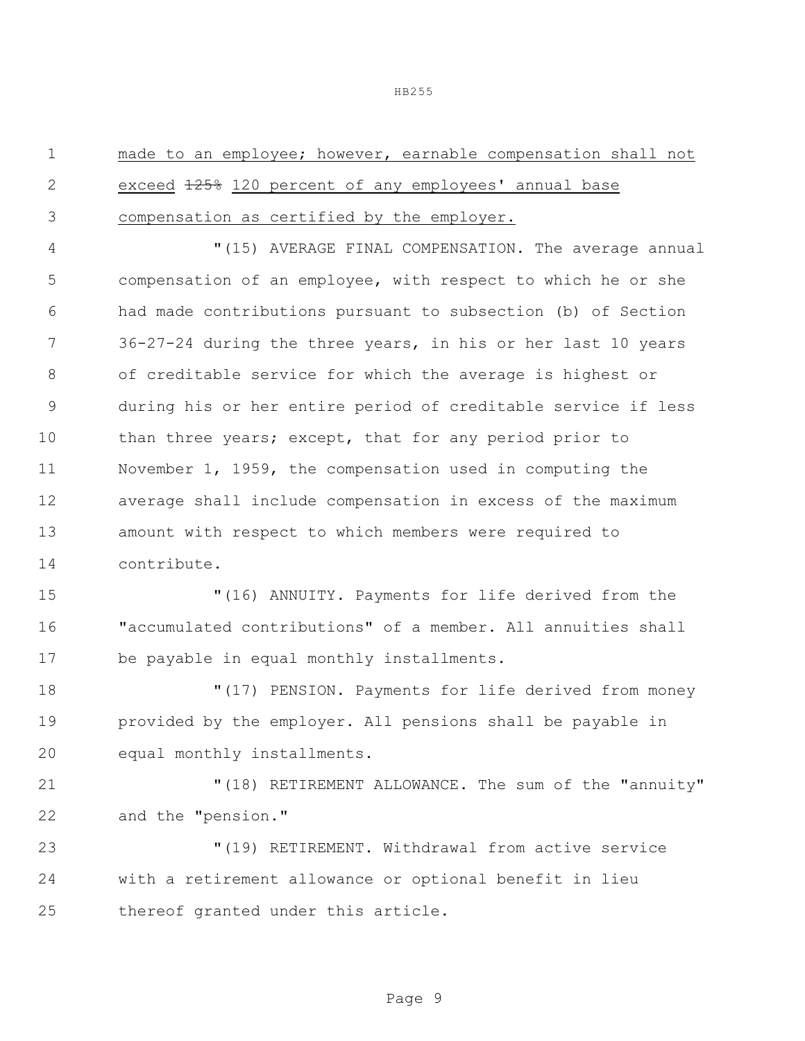made to an employee; however, earnable compensation shall not 2 exceed  $\frac{1258}{20}$  120 percent of any employees' annual base compensation as certified by the employer. "(15) AVERAGE FINAL COMPENSATION. The average annual compensation of an employee, with respect to which he or she had made contributions pursuant to subsection (b) of Section 36-27-24 during the three years, in his or her last 10 years of creditable service for which the average is highest or during his or her entire period of creditable service if less 10 than three years; except, that for any period prior to November 1, 1959, the compensation used in computing the average shall include compensation in excess of the maximum amount with respect to which members were required to contribute. "(16) ANNUITY. Payments for life derived from the "accumulated contributions" of a member. All annuities shall be payable in equal monthly installments. "(17) PENSION. Payments for life derived from money provided by the employer. All pensions shall be payable in equal monthly installments. "(18) RETIREMENT ALLOWANCE. The sum of the "annuity" and the "pension." "(19) RETIREMENT. Withdrawal from active service with a retirement allowance or optional benefit in lieu thereof granted under this article.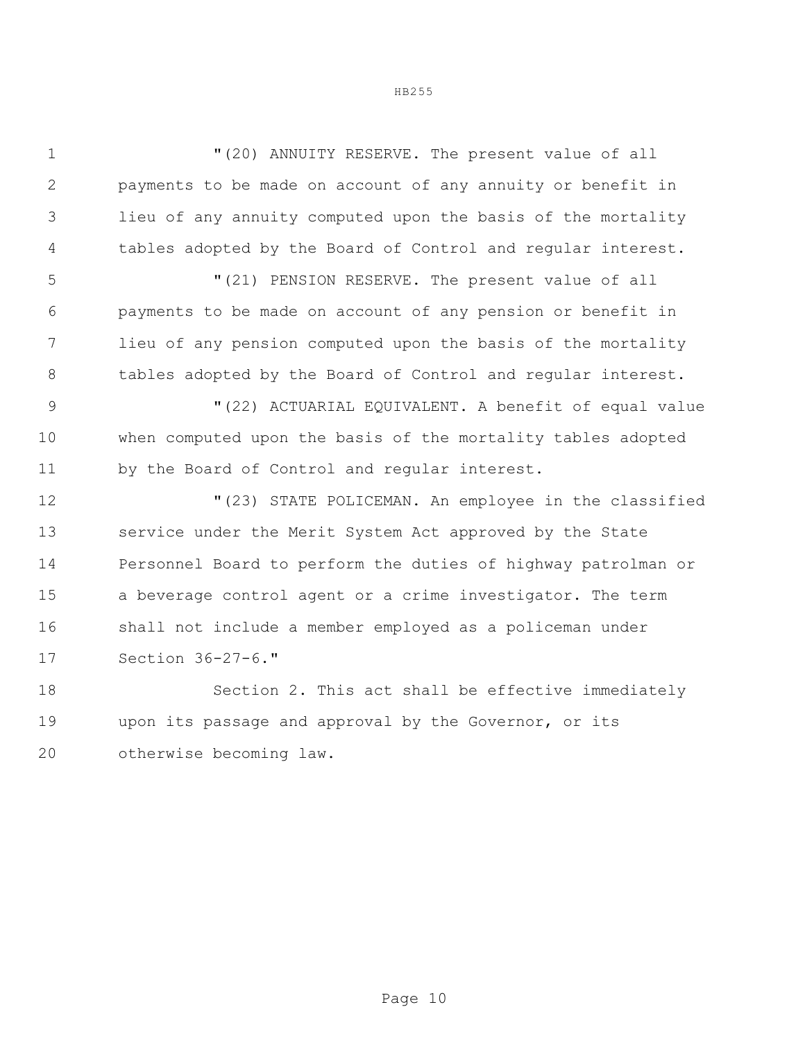| $\mathbf 1$    | "(20) ANNUITY RESERVE. The present value of all               |  |  |
|----------------|---------------------------------------------------------------|--|--|
| $\overline{2}$ | payments to be made on account of any annuity or benefit in   |  |  |
| 3              | lieu of any annuity computed upon the basis of the mortality  |  |  |
| 4              | tables adopted by the Board of Control and regular interest.  |  |  |
| 5              | "(21) PENSION RESERVE. The present value of all               |  |  |
| 6              | payments to be made on account of any pension or benefit in   |  |  |
| 7              | lieu of any pension computed upon the basis of the mortality  |  |  |
| 8              | tables adopted by the Board of Control and regular interest.  |  |  |
| $\mathcal{G}$  | "(22) ACTUARIAL EQUIVALENT. A benefit of equal value          |  |  |
| 10             | when computed upon the basis of the mortality tables adopted  |  |  |
| 11             | by the Board of Control and regular interest.                 |  |  |
| 12             | "(23) STATE POLICEMAN. An employee in the classified          |  |  |
| 13             | service under the Merit System Act approved by the State      |  |  |
| 14             | Personnel Board to perform the duties of highway patrolman or |  |  |
| 15             | a beverage control agent or a crime investigator. The term    |  |  |
| 16             | shall not include a member employed as a policeman under      |  |  |
| 17             | Section 36-27-6."                                             |  |  |
| 18             | Section 2. This act shall be effective immediately            |  |  |
| 19             | upon its passage and approval by the Governor, or its         |  |  |

otherwise becoming law.